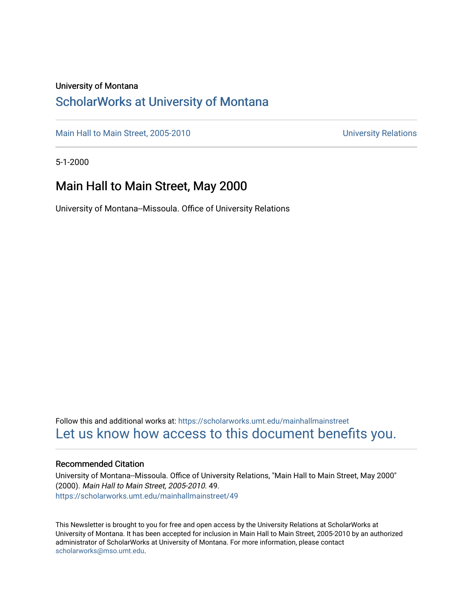#### University of Montana

## [ScholarWorks at University of Montana](https://scholarworks.umt.edu/)

[Main Hall to Main Street, 2005-2010](https://scholarworks.umt.edu/mainhallmainstreet) Main Hall to Main Street, 2005-2010

5-1-2000

## Main Hall to Main Street, May 2000

University of Montana--Missoula. Office of University Relations

Follow this and additional works at: [https://scholarworks.umt.edu/mainhallmainstreet](https://scholarworks.umt.edu/mainhallmainstreet?utm_source=scholarworks.umt.edu%2Fmainhallmainstreet%2F49&utm_medium=PDF&utm_campaign=PDFCoverPages) [Let us know how access to this document benefits you.](https://goo.gl/forms/s2rGfXOLzz71qgsB2) 

#### Recommended Citation

University of Montana--Missoula. Office of University Relations, "Main Hall to Main Street, May 2000" (2000). Main Hall to Main Street, 2005-2010. 49. [https://scholarworks.umt.edu/mainhallmainstreet/49](https://scholarworks.umt.edu/mainhallmainstreet/49?utm_source=scholarworks.umt.edu%2Fmainhallmainstreet%2F49&utm_medium=PDF&utm_campaign=PDFCoverPages) 

This Newsletter is brought to you for free and open access by the University Relations at ScholarWorks at University of Montana. It has been accepted for inclusion in Main Hall to Main Street, 2005-2010 by an authorized administrator of ScholarWorks at University of Montana. For more information, please contact [scholarworks@mso.umt.edu.](mailto:scholarworks@mso.umt.edu)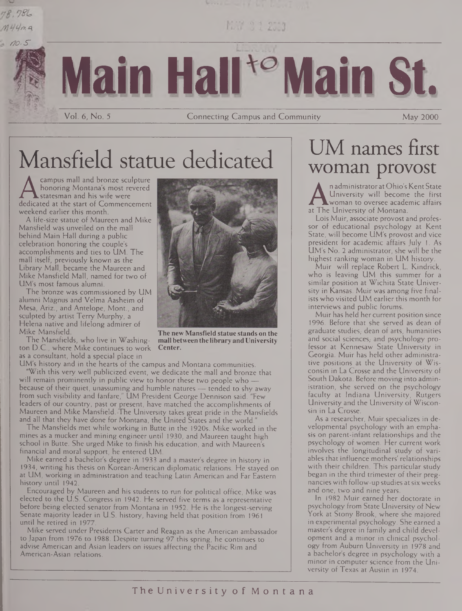## 78.786  $M44ma$



MAY 0.1 2503

# **Main Hall<sup>to</sup> Main St.**

Vol. 6, No. 5 Connecting Campus and Community May 2000

# Mansfield statue dedicated

A honoring Montana's most revered<br>dedicated at the start of Commencement<br>weekend earlier this month campus mall and bronze sculpture honoring Montana's most revered statesman and his wife were weekend earlier this month.

A life-size statue of Maureen and Mike Mansfield was unveiled on the mall behind Main Hall during a public celebration honoring the couple's accomplishments and ties to UM. The mall itself, previously known as the Library Mall, became the Maureen and Mike Mansfield Mall, named for two of UM's most famous alumni.

The bronze was commissioned by UM alumni Magnus and Velma Aasheim of Mesa, Ariz., and Antelope, Mont., and sculpted by artist Terry Murphy, a Helena native and lifelong admirer of Mike Mansfield.

The Mansfields, who live in Washington D.C., where Mike continues to work as a consultant, hold a special place in



**The new Mansfield statue stands on the mall between the library and University Center.**

UM's history and in the hearts of the campus and Montana communities. "With this very well publicized event, we dedicate the mall and bronze that will remain prominently in public view to honor these two people who because of their quiet, unassuming and humble natures — tended to shy away from such visibility and fanfare," UM President George Dennison said. "Few leaders of our country, past or present, have matched the accomplishments of Maureen and Mike Mansfield. The University takes great pride in the Mansfields and all that they have done for Montana, the United States and the world.

The Mansfields met while working in Butte in the 1920s. Mike worked in the mines as a mucker and mining engineer until 1930, and Maureen taught high school in Butte. She urged Mike to finish his education, and with Maureen's financial and moral support, he entered UM.

Mike earned a bachelor's degree in 1933 and a master's degree in history in 1934, writing his thesis on Korean-American diplomatic relations. He stayed on at UM, working in administration and teaching Latin American and Far Eastern history until 1942.

Encouraged by Maureen and his students to run for political office, Mike was elected to the U.S. Congress in 1942. He served five terms as a representative before being elected senator from Montana in 1952. He is the longest-serving Senate majority leader in U.S. history, having held that position from 1961 until he retired in 1977.

Mike served under Presidents Carter and Reagan as the American ambassador to Japan from 1976 to 1988. Despite turning 97 this spring, he continues to advise American and Asian leaders on issues affecting the Pacific Rim and American-Asian relations.

## UM names first woman provost

n administrator at Ohio's Kent State University will become the first woman to oversee academic affairs at The University of Montana.

Lois Muir, associate provost and professor of educational psychology at Kent State, will become UM's provost and vice president for academic affairs July 1. As UM's No. 2 administrator, she will be the highest ranking woman in UM history.

Muir will replace Robert L. Kindrick, who is leaving UM this summer for a similar position at Wichita State University in Kansas. Muir was among five finalists who visited UM earlier this month for interviews and public forums.

Muir has held her current position since 1996. Before that she served as dean of graduate studies, dean of arts, humanities and social sciences, and psychology professor at Kennesaw State University in Georgia. Muir has held other administrative positions at the University of Wisconsin in La Crosse and the University of South Dakota. Before moving into administration, she served on the psychology faculty at Indiana University, Rutgers University and the University of Wisconsin in La Crosse.

As a researcher, Muir specializes in developmental psychology with an emphasis on parent-infant relationships and the psychology of women. Her current work involves the longitudinal study of variables that influence mothers' relationships with their children. This particular study began in the third trimester of their pregnancies with follow-up studies atsix weeks and one, two and nine years.

In 1982 Muir earned her doctorate in psychology from State University of New York at Stony Brook, where she majored in experimental psychology. She earned a master's degree in family and child development and a minor in clinical psychology from Auburn University in 1978 and a bachelor's degree in psychology with a minor in computer science from the University of Texas at Austin in 1974.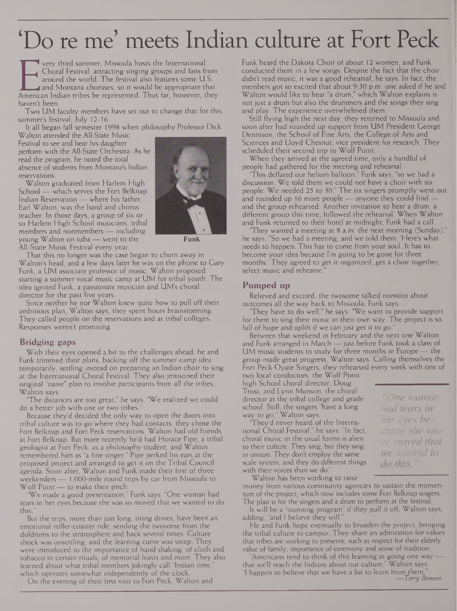## 'Do re me' meets Indian culture at Fort Peck

Fig. 2. The very third summer, Missoula hosts the International<br>
American Indian tribes be represented. Thus far, however, they<br>
American Indian tribes be represented. Thus far, however, they very third summer, Missoula hosts the International Choral Festival, attracting singing groups and fans from around the world. The festival also features some U.S. and Montana choruses, so it would be appropriate that haven't been.

Two UM faculty members have set out to change that for this summer's festival, July 12-16.

It all began fall semester 1998 when philosophy Professor Dick Walton attended the All-State Music

Festival to see and hear his daughter perform with the All-State Orchestra. As he read the program, he noted the total absence of students from Montana's Indian reservations.

Walton graduated from Harlem High School — which serves the Fort Belknap Indian Reservation — where his father, Earl Walton, was the band and chorus teacher. In those days, a group of six or so Harlem High School musicians, tribal members and nonmembers — including young Walton on tuba — went to the All-State Music Festival every year.



**Funk**

That this no longer was the case began to churn away in Walton's head, and a few days later he was on the phone to Gary Funk, a UM associate professor of music. Walton proposed starting a summer vocal music camp at UM for tribal youth. The idea ignited Funk, a passionate musician and UM's choral director for the past five years.

Since neither he nor Walton knew quite how to pull off their ambitious plan, Walton says, they spent hours brainstorming. They called people on the reservations and at tribal colleges. Responses weren't promising.

### **Bridging gaps**

With their eyes opened a bit to the challenges ahead, he and Funk trimmed their plans, backing off the summer-camp idea temporarily, settling instead on preparing an Indian choir to sing at the International Choral Festival. They also jettisoned their original "naive" plan to involve participants from all the tribes, Walton says.

The distances are too great," he says. "We realized we could do a better job with one or two tribes.

Because they'd decided the only way to open the doors into tribal culture was to go where they had contacts, they chose the Fort Belknap and Fort Peck reservations. Walton had old friends at Fort Belknap. But more recently he'd had Horace Pipe, a tribal geologist at Fort Peck, as a philosophy student, and Walton remembered him as "a fine singer." Pipe perked his ears at the proposed project and arranged to get it on the Tribal Council agenda. Soon after, Walton and Funk made their first of three weekenders — 1,000-mile round trips by car from Missoula to Wolf Point — to make their pitch.

We made a good presentation," Funk says. "One woman had tears in her eyes because she was so moved that we wanted to do this.

But the trips, more than just long, tiring drives, have been an emotional roller-coaster ride, sending the twosome from the doldrums to the stratosphere and back several times. Culture shock was unsettling, and the learning curve was steep. They were introduced to the importance of hand shaking, of cloth and tobacco in certain rituals, of memorial feasts and more. They also learned about what tribal members jokingly call "Indian time, which operates somewhat independently of the clock.

On the evening of their first visit to Fort Peck, Walton and

Funk heard the Dakota Choir of about 12 women, and Funk conducted them in a few songs. Despite the fact that the choir didn't read music, it was a good rehearsal, he says. In fact, the members got so excited that about 9:30 p.m. one asked if he and Walton would like to hear "a drum," which Walton explains is not just a drum but also the drummers and the songs they sing and play. The experience overwhelmed them.

Still flying high the next day, they returned to Missoula and soon after had rounded up support from UM President George Dennison, the School of Fine Arts, the College of Arts and Sciences and Lloyd Chesnut, vice president for research. They scheduled their second trip to Wolf Point.

When they arrived at the agreed time, only a handful of people had gathered for the meeting and rehearsal.

"This deflated our helium balloon," Funk says, "so we had a discussion. We told them we could not have a choir with six people. We needed 25 to 30." The six singers promptly went out and rounded up 16 more people — anyone they could find and the group rehearsed. Another invitation to hear a drum, a different group this time, followed the rehearsal. When Walton and Funk returned to their hotel at midnight, Funk had a call.

'They wanted a meeting at 8 a.m. the next morning (Sunday)," he says. "So we had a meeting, and we told them, 'Here's what needs to happen. This has to come from your soul. It has to become your idea because I'm going to be gone for three months.' They agreed to get it organized, get a choir together, select music and rehearse."

## **Pumped up**

Relieved and excited, the twosome talked nonstop about outcomes all the way back to Missoula, Funk says.

'They have to do well," he says. "We want to provide support for them to sing their music in their own way. The project is so full of hope and uplift if we can just get it to go.

Between that weekend in February and the next one Walton and Funk arranged in March — just before Funk took a class of UM music students to study for three months in Europe — the group made great progress, Walton says. Calling themselves the Fort Peck Oyate Singers, they rehearsed every week with one of two local conductors: the Wolf Point

high School choral director, Doug Trost, and Lynn Munson, the choral director at the tribal college and grade school. Still, the singers "have a long way to go," Walton says.

'They'd never heard of the International Choral Festival," he says. "In fact, choral music in the usual forms is alien to their culture. They sing, but they sing in unison. They don't employ the same scale system, and they do different things with their voices than we do.

Walton has been working to raise money from various community agencies to sustain the momentum of the project, which now includes some Fort Belknap singers. The plan is for the singers and a drum to perform at the festival.

It will be a "stunning program" if they pull it off, Walton says, adding, "and I believe they will.

He and Funk hope eventually to broaden the project, bringing the tribal culture to campus. They share an admiration for values that tribes are working to preserve, such as respect for their elderly, value of family, importance of ceremony and sense of tradition.

Americans tend to think of this learning as going one way that we'll teach the Indians about our culture," Walton says. "I happen to believe that we have a lot to learn from them. *—Terry Brenner*

*One woman had tears in her eyes because she was moved that* 50 *wanted to* do this."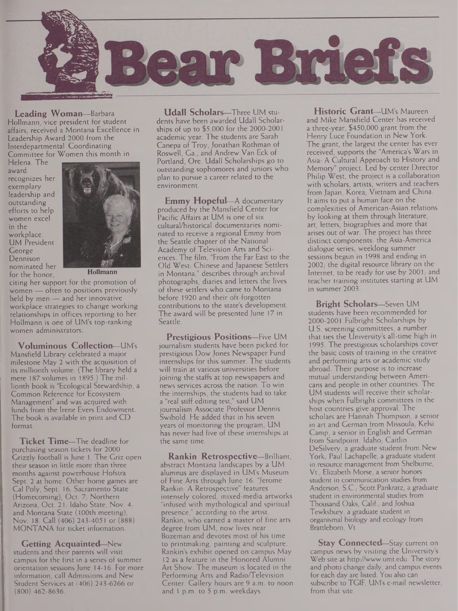

**Leading Woman—**Barbara Hollmann, vice president for student affairs, received a Montana Excellence in Leadership Award 2000 from the Interdepartmental Coordinating Committee for Women this month in

Helena. The award recognizes her exemplary leadership and outstanding efforts to help women excel in the workplace. UM President George Dennison nominated her for the honor,



**Hollmann**

citing her support for the promotion of women — often to positions previously held by men — and her innovative workplace strategies to change working relationships in offices reporting to her. Hollmann is one of UM's top-ranking women administrators.

**Voluminous Collection—**UM's Mansfield Library celebrated a major milestone May 2 with the acquisition of its millionth volume. (The library held a mere 187 volumes in 1895.) The millionth book is "Ecological Stewardship, a Common Reference for Ecosystem Management" and was acquired with funds from the Irene Evers Endowment. The book is available in print and CD format.

**Ticket Time—**The deadline for purchasing season tickets for 2000 Grizzly football is June 1. The Griz open their season in little more than three months against powerhouse Hofstra Sept. 2 at home. Other home games are Cal Poly, Sept. 16; Sacramento State (Homecoming), Oct. 7; Northern Arizona, Oct. 21, Idaho State, Nov. 4; and Montana State (100th meeting), Nov. 18. Call (406) 243-4051 or (888) MONTANA for ticket information.

**Getting Acquainted—**New students and their parents will visit campus for the first in a series of summer orientation sessions June 14-16. For more information, call Admissions and New Student Services at (406) 243-6266 or (800) 462-8636.

**Udall Scholars—**Three UM students have been awarded Udall Scholarships of up to \$5,000 for the 2000-2001 academic year. The students are Sarah Canepa of Troy, Jonathan Rothman of Roswell, Ga., and Andrew Van Eck of Portland, Ore. Udall Scholarships go to outstanding sophomores and juniors who plan to pursue a career related to the environment.

**Emmy Hopeful—**A documentary produced by the Mansfield Center for Pacific Affairs at UM is one of six cultural/historical documentaries nominated to receive a regional Emmy from the Seattle chapter of the National Academy of Television Arts and Sciences. The film, "From the Far East to the Old West: Chinese and Japanese Settlers in Montana," describes through archival photographs, diaries and letters the lives of these settlers who came to Montana before 1920 and their oft-forgotten contributions to the state's development. The award will be presented June 17 in Seattle.

**Prestigious Positions—**Five UM journalism students have been picked for prestigious Dow Jones Newspaper Fund internships for this summer. The students will train at various universities before joining the staffs at top newspapers and news services across the nation. To win the internships, the students had to take a "real stiff editing test," said UM journalism Associate Professor Dennis Swibold. He added that in his seven years of monitoring the program, UM has never had five of these internships at the same time.

**Rankin Retrospective—**Brilliant, abstract Montana landscapes by a UM alumnus are displayed in UM's Museum of Fine Arts through June 16. "Jerome Rankin: A Retrospective" features intensely colored, mixed-media artworks "infused with mythological and spiritual presence," according to the artist. Rankin, who earned a master of fine arts degree from UM, now lives near Bozeman and devotes most of his time to printmaking, painting and sculpture. Rankin's exhibit opened on campus May 12 as a feature in the Honored Alumni Art Show. The museum is located in the Performing Arts and Radio/Television Center. Gallery hours are 9 a.m. to noon and <sup>1</sup> p.m. to 5 p.m. weekdays.

**Historic Grant—**UM's Maureen and Mike Mansfield Center has received a three-year, \$450,000 grant from the Henry Luce Foundation in New York. The grant, the largest the center has ever received, supports the "America's Wars in Asia: A Cultural Approach to History and Memory" project. Led by center Director Philip West, the project is a collaboration with scholars, artists, writers and teachers from Japan, Korea, Vietnam and China. It aims to put a human face on the complexities of American-Asian relations by looking at them through literature, art, letters, biographies and more that arises out of war. The project has three distinct components: the Asia-America dialogue series, weeklong summer sessions begun in 1998 and ending in  $2002$ , the digital resource library on the Internet, to be ready for use by 2001; and teacher training institutes starting at UM in summer 2003.

**Bright Scholars—**Seven UM students have been recommended for 2000-2001 Fulbright Scholarships by U.S. screening committees, a number that ties the University's all-time high in 1995. The prestigious scholarships cover the basic costs of training in the creative and performing arts or academic study abroad. Their purpose is to increase mutual understanding between Americans and people in other countries. The UM students will receive their scholarships when Fulbright committees in the host countries give approval. The scholars are Hannah Thompson, a senior in art and German from Missoula, Kelsi Camp, a senior in English and German from Sandpoint, Idaho, Caitlin DeSilvery, a graduate student from New York,- Paul Lachapelle, a graduate student in resource management from Shelburne, Vt.; Elizabeth Morse, a senior honors student in communication studies from Anderson, S.C.; Scott Pankratz, a graduate student in environmental studies from Thousand Oaks, Calif., and Joshua Tewksbury, a graduate student in organismal biology and ecology from Brattleboro, Vt.

**Stay Connected**—Stay current on campus news by visiting the University's Web site at <http://www.umt.edu>. The story and photo change daily, and campus events for each day are listed. You also can subscribe to TGIF, UM's e-mail newsletter, from that site.